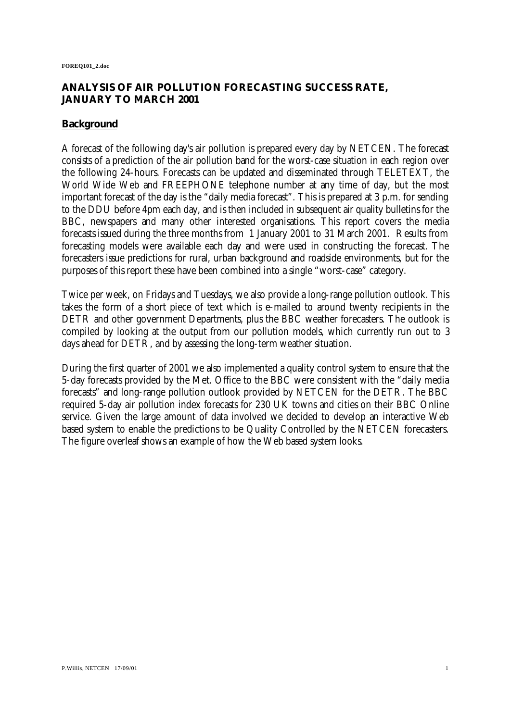# **ANALYSIS OF AIR POLLUTION FORECASTING SUCCESS RATE, JANUARY TO MARCH 2001**

## **Background**

A forecast of the following day's air pollution is prepared every day by NETCEN. The forecast consists of a prediction of the air pollution band for the worst-case situation in each region over the following 24-hours. Forecasts can be updated and disseminated through TELETEXT, the World Wide Web and FREEPHONE telephone number at any time of day, but the most important forecast of the day is the "daily media forecast". This is prepared at 3 p.m. for sending to the DDU before 4pm each day, and is then included in subsequent air quality bulletins for the BBC, newspapers and many other interested organisations. This report covers the media forecasts issued during the three months from 1 January 2001 to 31 March 2001. Results from forecasting models were available each day and were used in constructing the forecast. The forecasters issue predictions for rural, urban background and roadside environments, but for the purposes of this report these have been combined into a single "worst-case" category.

Twice per week, on Fridays and Tuesdays, we also provide a long-range pollution outlook. This takes the form of a short piece of text which is e-mailed to around twenty recipients in the DETR and other government Departments, plus the BBC weather forecasters. The outlook is compiled by looking at the output from our pollution models, which currently run out to 3 days ahead for DETR, and by assessing the long-term weather situation.

During the first quarter of 2001 we also implemented a quality control system to ensure that the 5-day forecasts provided by the Met. Office to the BBC were consistent with the "daily media forecasts" and long-range pollution outlook provided by NETCEN for the DETR. The BBC required 5-day air pollution index forecasts for 230 UK towns and cities on their BBC Online service. Given the large amount of data involved we decided to develop an interactive Web based system to enable the predictions to be Quality Controlled by the NETCEN forecasters. The figure overleaf shows an example of how the Web based system looks.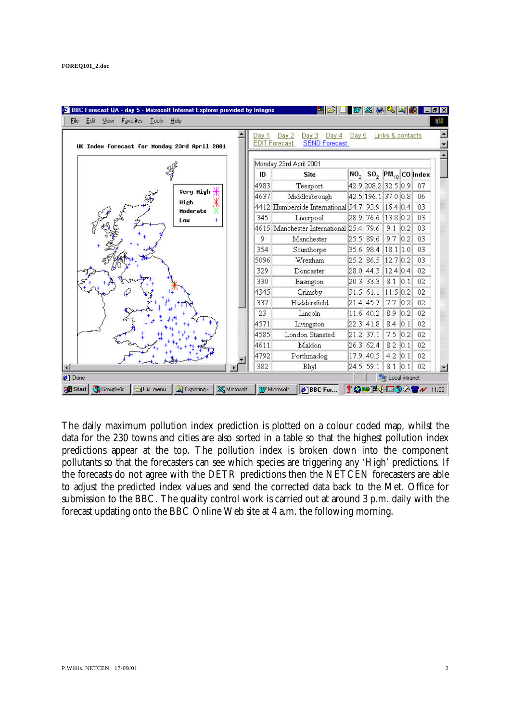| UK Index forecast for Monday 23rd April 2001 | Day                    | Day 3<br>Day 4<br>Day 2<br><b>EDIT Forecast</b><br><b>SEND Forecast</b> | Day 5           |                     | Links & contacts |                   |                           |
|----------------------------------------------|------------------------|-------------------------------------------------------------------------|-----------------|---------------------|------------------|-------------------|---------------------------|
|                                              | Monday 23rd April 2001 |                                                                         |                 |                     |                  |                   |                           |
|                                              | ID                     | <b>Site</b>                                                             | NO <sub>2</sub> |                     |                  |                   | $SO_2$ $PM_{10}$ CO Index |
|                                              | 4983                   | Teesport                                                                |                 | 42.9 208.2 32.5 0.9 |                  |                   | 07                        |
| Very High                                    | 4637                   | Middlesbrough                                                           |                 | 42.5 196.1 37.0 0.8 |                  |                   | 06                        |
| Ж<br>High<br><b>Moderate</b>                 |                        | 4412 Humberside International 34.7                                      |                 | 93.9                | 16.4 0.4         |                   | 03                        |
| ÷<br>Lou                                     | 345                    | Liverpool                                                               | 28.9            | 76.6                | 13.8 0.2         |                   | 03                        |
|                                              |                        | 4615 Manchester International 25.4                                      |                 | 79.6                | 9.1              | 0.2               | 03                        |
|                                              | 9                      | Manchester                                                              | 25.5            | 89.6                | 9.7              | 0.2               | 03                        |
|                                              | 354                    | Scunthorpe                                                              | 35.6            | 98.4                | 18.1   1.0       |                   | 03                        |
|                                              | 5096                   | Wrexham                                                                 | 25.2            | 86.5                | 12.7 0.2         |                   | 03                        |
|                                              | 329                    | Doncaster                                                               | 28.0            | 44.3                | 12.4 0.4         |                   | 02                        |
|                                              | 330                    | Easington                                                               | 20.3            | 33.3                | 8.1              | 0.1               | 02                        |
|                                              | 4345                   | Grimsby                                                                 | 31.5            | 61.1                | 11.5 0.2         |                   | 02                        |
|                                              | 337                    | Huddersfield                                                            | 21.4            | 45.7                | 7.7              | 0.2               | 02                        |
|                                              | 23                     | Lincoln                                                                 | 11.6            | 40.2                | 8.9              | 0.2               | 02                        |
|                                              | 4571                   | Livingston                                                              | 22.3            | 41.8                | 8.4              | 0.1               | 02                        |
|                                              | 4585                   | London Stansted                                                         | 21.2            | 37.1                | 7.5              | 0.2               | 02                        |
|                                              | 4611                   | Maldon                                                                  | 26.3            | 62.4                | 8.2              | 0.1               | 02                        |
|                                              | 4792                   | Porthmadog                                                              | 17.9            | 40.5                | 4.2              | 0.1               | 02                        |
|                                              | 382                    | Rhyl                                                                    | 24.5            | 59.1                | 8.1              | $\vert 0.1 \vert$ | 02                        |

The daily maximum pollution index prediction is plotted on a colour coded map, whilst the data for the 230 towns and cities are also sorted in a table so that the highest pollution index predictions appear at the top. The pollution index is broken down into the component pollutants so that the forecasters can see which species are triggering any 'High' predictions. If the forecasts do not agree with the DETR predictions then the NETCEN forecasters are able to adjust the predicted index values and send the corrected data back to the Met. Office for submission to the BBC. The quality control work is carried out at around 3 p.m. daily with the forecast updating onto the BBC Online Web site at 4 a.m. the following morning.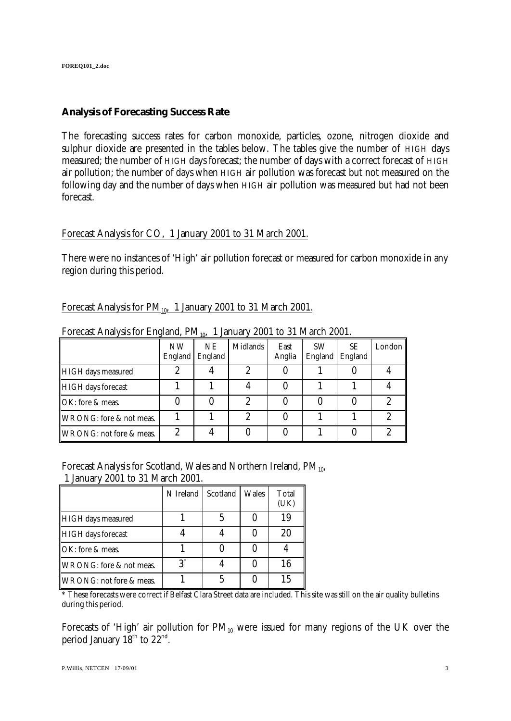## **Analysis of Forecasting Success Rate**

The forecasting success rates for carbon monoxide, particles, ozone, nitrogen dioxide and sulphur dioxide are presented in the tables below. The tables give the number of HIGH days measured; the number of HIGH days forecast; the number of days with a correct forecast of HIGH air pollution; the number of days when HIGH air pollution was forecast but not measured on the following day and the number of days when HIGH air pollution was measured but had not been forecast.

### Forecast Analysis for CO, 1 January 2001 to 31 March 2001.

There were no instances of 'High' air pollution forecast or measured for carbon monoxide in any region during this period.

### Forecast Analysis for  $PM_{10}$ , 1 January 2001 to 31 March 2001.

|                           | <b>NW</b><br>England | NE<br>England | Midlands | East<br>Anglia | <b>SW</b><br>England | SE.<br>England | London |
|---------------------------|----------------------|---------------|----------|----------------|----------------------|----------------|--------|
| HIGH days measured        |                      |               |          |                |                      |                |        |
| <b>HIGH</b> days forecast |                      |               |          |                |                      |                |        |
| OK: fore & meas.          |                      |               | າ        |                |                      |                |        |
| WRONG: fore & not meas.   |                      |               | 2        |                |                      |                |        |
| WRONG: not fore & meas.   |                      |               |          |                |                      |                |        |

Forecast Analysis for England,  $PM_{10}$ , 1 January 2001 to 31 March 2001.

Forecast Analysis for Scotland, Wales and Northern Ireland,  $PM_{10}$ ,

1 January 2001 to 31 March 2001.

|                         | N Ireland      | Scotland | Wales | Total<br>(UK) |
|-------------------------|----------------|----------|-------|---------------|
| HIGH days measured      |                |          |       | 19            |
| HIGH days forecast      |                |          |       | 20            |
| OK: fore & meas.        |                |          |       |               |
| WRONG: fore & not meas. | $\mathbf{Q}^*$ |          |       | 16            |
| WRONG: not fore & meas. |                |          |       | 15            |

\* These forecasts were correct if Belfast Clara Street data are included. This site was still on the air quality bulletins during this period.

Forecasts of 'High' air pollution for  $PM_{10}$  were issued for many regions of the UK over the period January  $18^{\text{th}}$  to  $22^{\text{nd}}$ .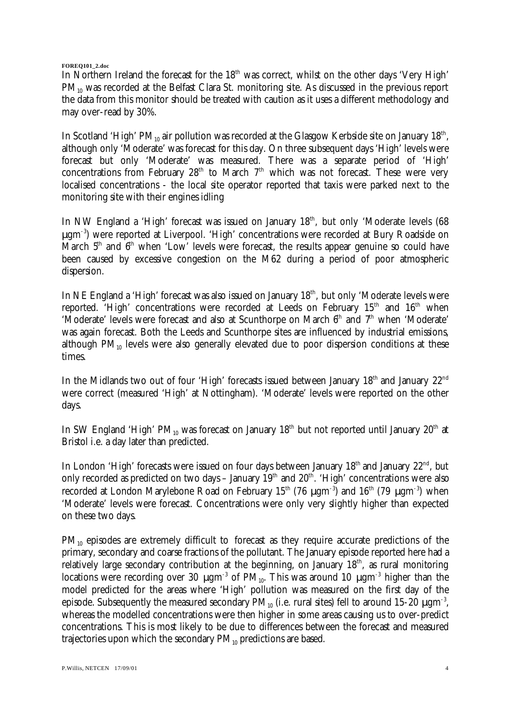**FOREQ101\_2.doc**

In Northern Ireland the forecast for the  $18<sup>th</sup>$  was correct, whilst on the other days 'Very High'  $PM_{10}$  was recorded at the Belfast Clara St. monitoring site. As discussed in the previous report the data from this monitor should be treated with caution as it uses a different methodology and may over-read by 30%.

In Scotland 'High' PM $_{\rm 10}$  air pollution was recorded at the Glasgow Kerbside site on January 18th, although only 'Moderate' was forecast for this day. On three subsequent days 'High' levels were forecast but only 'Moderate' was measured. There was a separate period of 'High' concentrations from February 28<sup>th</sup> to March  $7<sup>th</sup>$  which was not forecast. These were very localised concentrations - the local site operator reported that taxis were parked next to the monitoring site with their engines idling

In NW England a 'High' forecast was issued on January  $18<sup>th</sup>$ , but only 'Moderate levels (68) μgm-3) were reported at Liverpool. 'High' concentrations were recorded at Bury Roadside on March  $5<sup>th</sup>$  and  $6<sup>th</sup>$  when 'Low' levels were forecast, the results appear genuine so could have been caused by excessive congestion on the M62 during a period of poor atmospheric dispersion.

In NE England a 'High' forecast was also issued on January  $18<sup>th</sup>$ , but only 'Moderate levels were reported. 'High' concentrations were recorded at Leeds on February 15<sup>th</sup> and 16<sup>th</sup> when 'Moderate' levels were forecast and also at Scunthorpe on March 6<sup>th</sup> and 7<sup>th</sup> when 'Moderate' was again forecast. Both the Leeds and Scunthorpe sites are influenced by industrial emissions, although  $PM_{10}$  levels were also generally elevated due to poor dispersion conditions at these times.

In the Midlands two out of four 'High' forecasts issued between January  $18<sup>th</sup>$  and January  $22<sup>nd</sup>$ were correct (measured 'High' at Nottingham). 'Moderate' levels were reported on the other days.

In SW England 'High' PM<sub>10</sub> was forecast on January  $18<sup>th</sup>$  but not reported until January  $20<sup>th</sup>$  at Bristol i.e. a day later than predicted.

In London 'High' forecasts were issued on four days between January  $18<sup>th</sup>$  and January  $22<sup>nd</sup>$ , but only recorded as predicted on two days – January  $19<sup>th</sup>$  and  $20<sup>th</sup>$ . 'High' concentrations were also recorded at London Marylebone Road on February  $15<sup>th</sup>$  (76  $\mu$ gm<sup>-3</sup>) and  $16<sup>th</sup>$  (79  $\mu$ gm<sup>-3</sup>) when 'Moderate' levels were forecast. Concentrations were only very slightly higher than expected on these two days.

PM<sub>10</sub> episodes are extremely difficult to forecast as they require accurate predictions of the primary, secondary and coarse fractions of the pollutant. The January episode reported here had a relatively large secondary contribution at the beginning, on January  $18<sup>th</sup>$ , as rural monitoring locations were recording over 30  $\mu$ gm<sup>-3</sup> of PM<sub>10</sub>. This was around 10  $\mu$ gm<sup>-3</sup> higher than the model predicted for the areas where 'High' pollution was measured on the first day of the episode. Subsequently the measured secondary PM $_{10}$  (i.e. rural sites) fell to around 15-20  $\mu\mathrm{g m}^{-3}$ , whereas the modelled concentrations were then higher in some areas causing us to over-predict concentrations. This is most likely to be due to differences between the forecast and measured trajectories upon which the secondary  $PM_{10}$  predictions are based.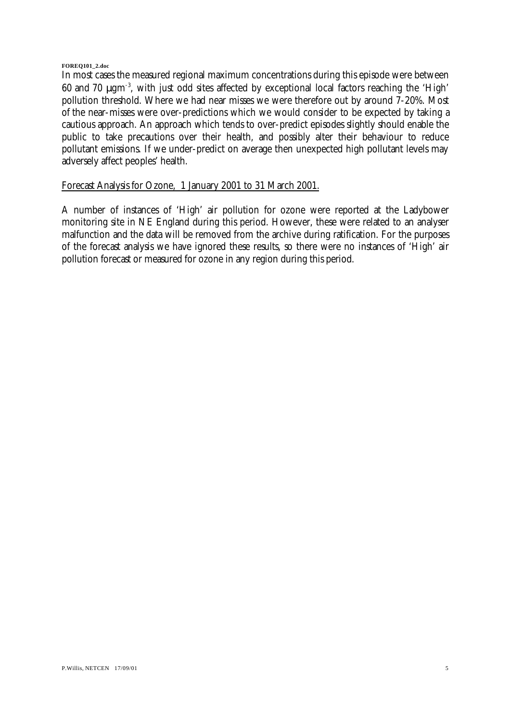#### **FOREQ101\_2.doc**

In most cases the measured regional maximum concentrations during this episode were between 60 and 70 μgm-3, with just odd sites affected by exceptional local factors reaching the 'High' pollution threshold. Where we had near misses we were therefore out by around 7-20%. Most of the near-misses were over-predictions which we would consider to be expected by taking a cautious approach. An approach which tends to over-predict episodes slightly should enable the public to take precautions over their health, and possibly alter their behaviour to reduce pollutant emissions. If we under-predict on average then unexpected high pollutant levels may adversely affect peoples' health.

### Forecast Analysis for Ozone, 1 January 2001 to 31 March 2001.

A number of instances of 'High' air pollution for ozone were reported at the Ladybower monitoring site in NE England during this period. However, these were related to an analyser malfunction and the data will be removed from the archive during ratification. For the purposes of the forecast analysis we have ignored these results, so there were no instances of 'High' air pollution forecast or measured for ozone in any region during this period.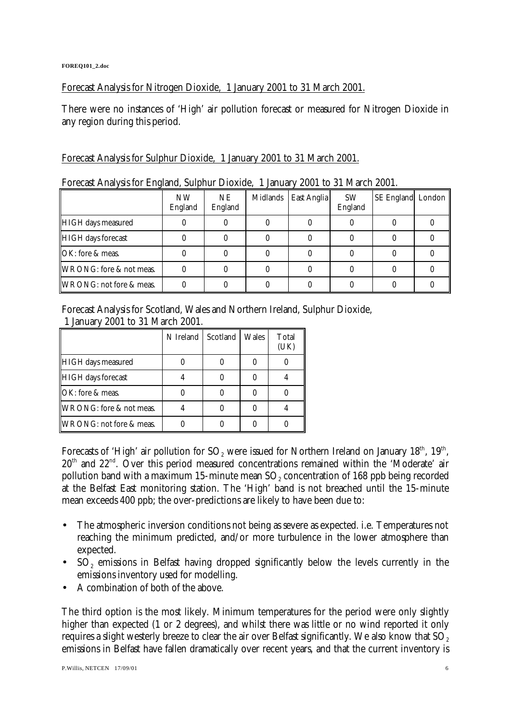Forecast Analysis for Nitrogen Dioxide, 1 January 2001 to 31 March 2001.

There were no instances of 'High' air pollution forecast or measured for Nitrogen Dioxide in any region during this period.

# Forecast Analysis for Sulphur Dioxide, 1 January 2001 to 31 March 2001.

| $\frac{1}{2}$             |                      |                |          |             |                      |                   |  |
|---------------------------|----------------------|----------------|----------|-------------|----------------------|-------------------|--|
|                           | <b>NW</b><br>England | NE.<br>England | Midlands | East Anglia | <b>SW</b><br>England | SE England London |  |
| HIGH days measured        |                      |                |          |             |                      |                   |  |
| <b>HIGH</b> days forecast |                      |                |          |             |                      |                   |  |
| OK: fore & meas.          |                      |                |          |             |                      |                   |  |
| WRONG: fore & not meas.   |                      |                |          |             |                      |                   |  |
| WRONG: not fore & meas.   |                      |                |          |             |                      |                   |  |

Forecast Analysis for England, Sulphur Dioxide, 1 January 2001 to 31 March 2001.

Forecast Analysis for Scotland, Wales and Northern Ireland, Sulphur Dioxide, 1 January 2001 to 31 March 2001.

|                         | N Ireland | Scotland | Wales | Total |
|-------------------------|-----------|----------|-------|-------|
| HIGH days measured      |           |          |       |       |
| HIGH days forecast      |           |          |       |       |
| OK: fore & meas.        |           |          |       |       |
| WRONG: fore & not meas. |           |          |       |       |
| WRONG: not fore & meas. |           |          |       |       |

Forecasts of 'High' air pollution for SO<sub>2</sub> were issued for Northern Ireland on January 18<sup>th</sup>, 19<sup>th</sup>,  $20<sup>th</sup>$  and  $22<sup>nd</sup>$ . Over this period measured concentrations remained within the 'Moderate' air pollution band with a maximum 15-minute mean SO $_{\rm 2}$  concentration of 168 ppb being recorded at the Belfast East monitoring station. The 'High' band is not breached until the 15-minute mean exceeds 400 ppb; the over-predictions are likely to have been due to:

- The atmospheric inversion conditions not being as severe as expected. i.e. Temperatures not reaching the minimum predicted, and/or more turbulence in the lower atmosphere than expected.
- $SO_2$  emissions in Belfast having dropped significantly below the levels currently in the emissions inventory used for modelling.
- A combination of both of the above.

The third option is the most likely. Minimum temperatures for the period were only slightly higher than expected (1 or 2 degrees), and whilst there was little or no wind reported it only requires a slight westerly breeze to clear the air over Belfast significantly. We also know that SO<sub>2</sub> emissions in Belfast have fallen dramatically over recent years, and that the current inventory is